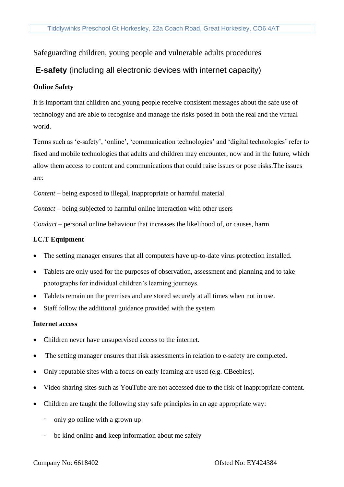## Safeguarding children, young people and vulnerable adults procedures

# **E-safety** (including all electronic devices with internet capacity)

#### **Online Safety**

It is important that children and young people receive consistent messages about the safe use of technology and are able to recognise and manage the risks posed in both the real and the virtual world.

Terms such as 'e-safety', 'online', 'communication technologies' and 'digital technologies' refer to fixed and mobile technologies that adults and children may encounter, now and in the future, which allow them access to content and communications that could raise issues or pose risks.The issues are:

*Content* – being exposed to illegal, inappropriate or harmful material

*Contact* – being subjected to harmful online interaction with other users

*Conduct* – personal online behaviour that increases the likelihood of, or causes, harm

#### **I.C.T Equipment**

- The setting manager ensures that all computers have up-to-date virus protection installed.
- Tablets are only used for the purposes of observation, assessment and planning and to take photographs for individual children's learning journeys.
- Tablets remain on the premises and are stored securely at all times when not in use.
- Staff follow the additional guidance provided with the system

#### **Internet access**

- Children never have unsupervised access to the internet.
- The setting manager ensures that risk assessments in relation to e-safety are completed.
- Only reputable sites with a focus on early learning are used (e.g. CBeebies).
- Video sharing sites such as YouTube are not accessed due to the risk of inappropriate content.
- Children are taught the following stay safe principles in an age appropriate way:
	- only go online with a grown up
	- be kind online **and** keep information about me safely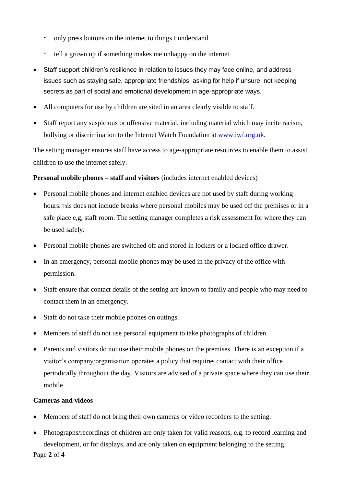- only press buttons on the internet to things I understand
- tell a grown up if something makes me unhappy on the internet
- Staff support children's resilience in relation to issues they may face online, and address issues such as staying safe, appropriate friendships, asking for help if unsure, not keeping secrets as part of social and emotional development in age-appropriate ways.
- All computers for use by children are sited in an area clearly visible to staff.
- Staff report any suspicious or offensive material, including material which may incite racism, bullying or discrimination to the Internet Watch Foundation at [www.iwf.org.uk.](http://www.iwf.org.uk/)

The setting manager ensures staff have access to age-appropriate resources to enable them to assist children to use the internet safely.

## **Personal mobile phones – staff and visitors** (includes internet enabled devices)

- Personal mobile phones and internet enabled devices are not used by staff during working hours. This does not include breaks where personal mobiles may be used off the premises or in a safe place e,g, staff room. The setting manager completes a risk assessment for where they can be used safely.
- Personal mobile phones are switched off and stored in lockers or a locked office drawer.
- In an emergency, personal mobile phones may be used in the privacy of the office with permission.
- Staff ensure that contact details of the setting are known to family and people who may need to contact them in an emergency.
- Staff do not take their mobile phones on outings.
- Members of staff do not use personal equipment to take photographs of children.
- Parents and visitors do not use their mobile phones on the premises. There is an exception if a visitor's company/organisation operates a policy that requires contact with their office periodically throughout the day. Visitors are advised of a private space where they can use their mobile.

## **Cameras and videos**

- Members of staff do not bring their own cameras or video recorders to the setting.
- Photographs/recordings of children are only taken for valid reasons, e.g. to record learning and development, or for displays, and are only taken on equipment belonging to the setting.

Page **2** of **4**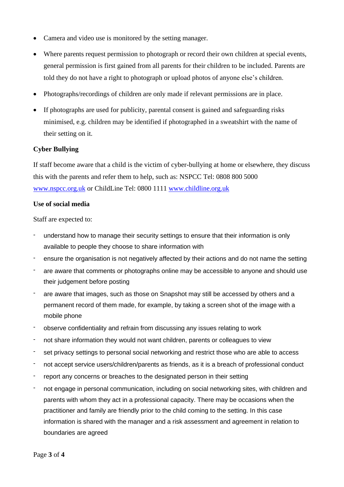- Camera and video use is monitored by the setting manager.
- Where parents request permission to photograph or record their own children at special events, general permission is first gained from all parents for their children to be included. Parents are told they do not have a right to photograph or upload photos of anyone else's children.
- Photographs/recordings of children are only made if relevant permissions are in place.
- If photographs are used for publicity, parental consent is gained and safeguarding risks minimised, e.g. children may be identified if photographed in a sweatshirt with the name of their setting on it.

## **Cyber Bullying**

If staff become aware that a child is the victim of cyber-bullying at home or elsewhere, they discuss this with the parents and refer them to help, such as: NSPCC Tel: 0808 800 5000 [www.nspcc.org.uk](http://www.nspcc.org.uk/) or ChildLine Tel: 0800 1111 [www.childline.org.uk](http://www.childline.org.uk/)

#### **Use of social media**

Staff are expected to:

- understand how to manage their security settings to ensure that their information is only available to people they choose to share information with
- ensure the organisation is not negatively affected by their actions and do not name the setting
- are aware that comments or photographs online may be accessible to anyone and should use their judgement before posting
- are aware that images, such as those on Snapshot may still be accessed by others and a permanent record of them made, for example, by taking a screen shot of the image with a mobile phone
- observe confidentiality and refrain from discussing any issues relating to work
- not share information they would not want children, parents or colleagues to view
- set privacy settings to personal social networking and restrict those who are able to access
- not accept service users/children/parents as friends, as it is a breach of professional conduct
- report any concerns or breaches to the designated person in their setting
- not engage in personal communication, including on social networking sites, with children and parents with whom they act in a professional capacity. There may be occasions when the practitioner and family are friendly prior to the child coming to the setting. In this case information is shared with the manager and a risk assessment and agreement in relation to boundaries are agreed